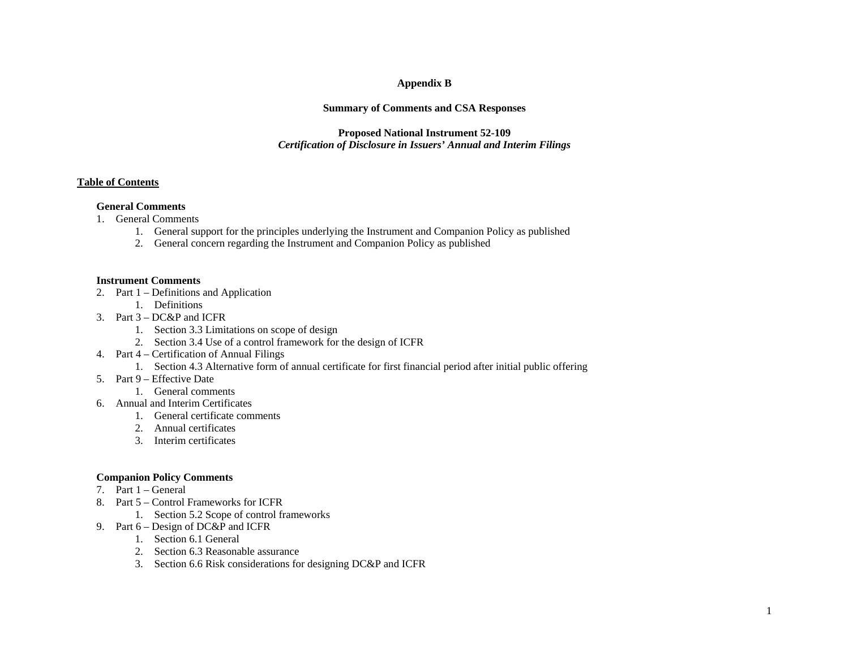## **Appendix B**

### **Summary of Comments and CSA Responses**

# **Proposed National Instrument 52-109**  *Certification of Disclosure in Issuers' Annual and Interim Filings*

#### **Table of Contents**

#### **General Comments**

- 1. General Comments
	- 1. General support for the principles underlying the Instrument and Companion Policy as published
	- 2. General concern regarding the Instrument and Companion Policy as published

#### **Instrument Comments**

- 2. Part 1 Definitions and Application
	- 1. Definitions
- 3. Part 3 DC&P and ICFR
	- 1. Section 3.3 Limitations on scope of design
	- 2. Section 3.4 Use of a control framework for the design of ICFR
- 4. Part 4 Certification of Annual Filings
	- 1. Section 4.3 Alternative form of annual certificate for first financial period after initial public offering
- 5. Part 9 Effective Date
	- 1. General comments
- 6. Annual and Interim Certificates
	- 1. General certificate comments
	- 2. Annual certificates
	- 3. Interim certificates

#### **Companion Policy Comments**

- 7. Part 1 General
- 8. Part 5 Control Frameworks for ICFR
	- 1. Section 5.2 Scope of control frameworks
- 9. Part 6 Design of DC&P and ICFR
	- 1. Section 6.1 General
	- 2. Section 6.3 Reasonable assurance
	- 3. Section 6.6 Risk considerations for designing DC&P and ICFR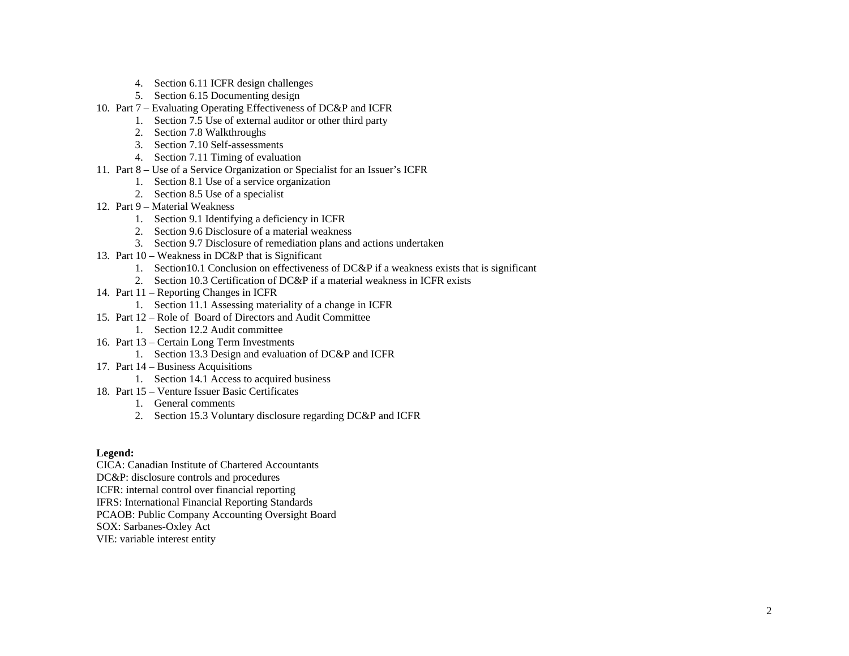- 4. Section 6.11 ICFR design challenges
- 5. Section 6.15 Documenting design
- 10. Part 7 Evaluating Operating Effectiveness of DC&P and ICFR
	- 1. Section 7.5 Use of external auditor or other third party
	- 2. Section 7.8 Walkthroughs
	- 3. Section 7.10 Self-assessments
	- 4. Section 7.11 Timing of evaluation
- 11. Part 8 Use of a Service Organization or Specialist for an Issuer's ICFR
	- 1. Section 8.1 Use of a service organization
	- 2. Section 8.5 Use of a specialist
- 12. Part 9 Material Weakness
	- 1. Section 9.1 Identifying a deficiency in ICFR
	- 2. Section 9.6 Disclosure of a material weakness
	- 3. Section 9.7 Disclosure of remediation plans and actions undertaken
- 13. Part 10 Weakness in DC&P that is Significant
	- 1. Section10.1 Conclusion on effectiveness of DC&P if a weakness exists that is significant
	- 2. Section 10.3 Certification of DC&P if a material weakness in ICFR exists
- 14. Part 11 Reporting Changes in ICFR
	- 1. Section 11.1 Assessing materiality of a change in ICFR
- 15. Part 12 Role of Board of Directors and Audit Committee
	- 1. Section 12.2 Audit committee
- 16. Part 13 Certain Long Term Investments
	- 1. Section 13.3 Design and evaluation of DC&P and ICFR
- 17. Part 14 Business Acquisitions
	- 1. Section 14.1 Access to acquired business
- 18. Part 15 Venture Issuer Basic Certificates
	- 1. General comments
	- 2. Section 15.3 Voluntary disclosure regarding DC&P and ICFR

#### **Legend:**

CICA: Canadian Institute of Chartered Accountants DC&P: disclosure controls and procedures ICFR: internal control over financial reporting IFRS: International Financial Reporting Standards PCAOB: Public Company Accounting Oversight Board SOX: Sarbanes-Oxley Act VIE: variable interest entity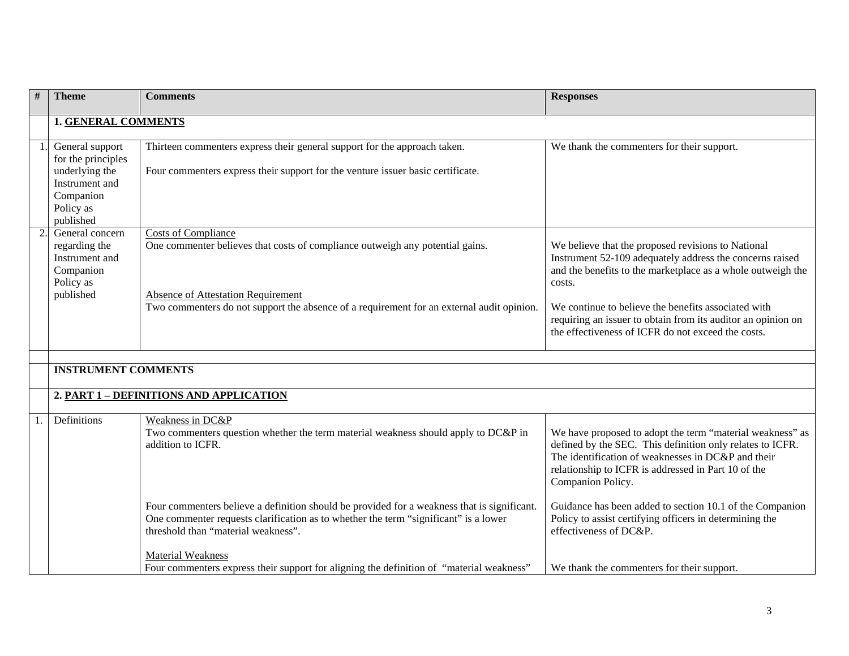| # | <b>Theme</b>                                                                                                     | <b>Comments</b>                                                                                                                                                                                                                                | <b>Responses</b>                                                                                                                                                                                                                                                                                                                                                     |
|---|------------------------------------------------------------------------------------------------------------------|------------------------------------------------------------------------------------------------------------------------------------------------------------------------------------------------------------------------------------------------|----------------------------------------------------------------------------------------------------------------------------------------------------------------------------------------------------------------------------------------------------------------------------------------------------------------------------------------------------------------------|
|   | <b>1. GENERAL COMMENTS</b>                                                                                       |                                                                                                                                                                                                                                                |                                                                                                                                                                                                                                                                                                                                                                      |
|   | General support<br>for the principles<br>underlying the<br>Instrument and<br>Companion<br>Policy as<br>published | Thirteen commenters express their general support for the approach taken.<br>Four commenters express their support for the venture issuer basic certificate.                                                                                   | We thank the commenters for their support.                                                                                                                                                                                                                                                                                                                           |
|   | General concern<br>regarding the<br>Instrument and<br>Companion<br>Policy as<br>published                        | <b>Costs of Compliance</b><br>One commenter believes that costs of compliance outweigh any potential gains.<br>Absence of Attestation Requirement<br>Two commenters do not support the absence of a requirement for an external audit opinion. | We believe that the proposed revisions to National<br>Instrument 52-109 adequately address the concerns raised<br>and the benefits to the marketplace as a whole outweigh the<br>costs.<br>We continue to believe the benefits associated with<br>requiring an issuer to obtain from its auditor an opinion on<br>the effectiveness of ICFR do not exceed the costs. |
|   | <b>INSTRUMENT COMMENTS</b>                                                                                       |                                                                                                                                                                                                                                                |                                                                                                                                                                                                                                                                                                                                                                      |
|   |                                                                                                                  |                                                                                                                                                                                                                                                |                                                                                                                                                                                                                                                                                                                                                                      |
|   |                                                                                                                  | 2. PART 1 - DEFINITIONS AND APPLICATION                                                                                                                                                                                                        |                                                                                                                                                                                                                                                                                                                                                                      |
|   | Definitions                                                                                                      | Weakness in DC&P<br>Two commenters question whether the term material weakness should apply to DC&P in<br>addition to ICFR.                                                                                                                    | We have proposed to adopt the term "material weakness" as<br>defined by the SEC. This definition only relates to ICFR.<br>The identification of weaknesses in DC&P and their<br>relationship to ICFR is addressed in Part 10 of the<br>Companion Policy.                                                                                                             |
|   |                                                                                                                  | Four commenters believe a definition should be provided for a weakness that is significant.<br>One commenter requests clarification as to whether the term "significant" is a lower<br>threshold than "material weakness".                     | Guidance has been added to section 10.1 of the Companion<br>Policy to assist certifying officers in determining the<br>effectiveness of DC&P.                                                                                                                                                                                                                        |
|   |                                                                                                                  | Material Weakness<br>Four commenters express their support for aligning the definition of "material weakness"                                                                                                                                  | We thank the commenters for their support.                                                                                                                                                                                                                                                                                                                           |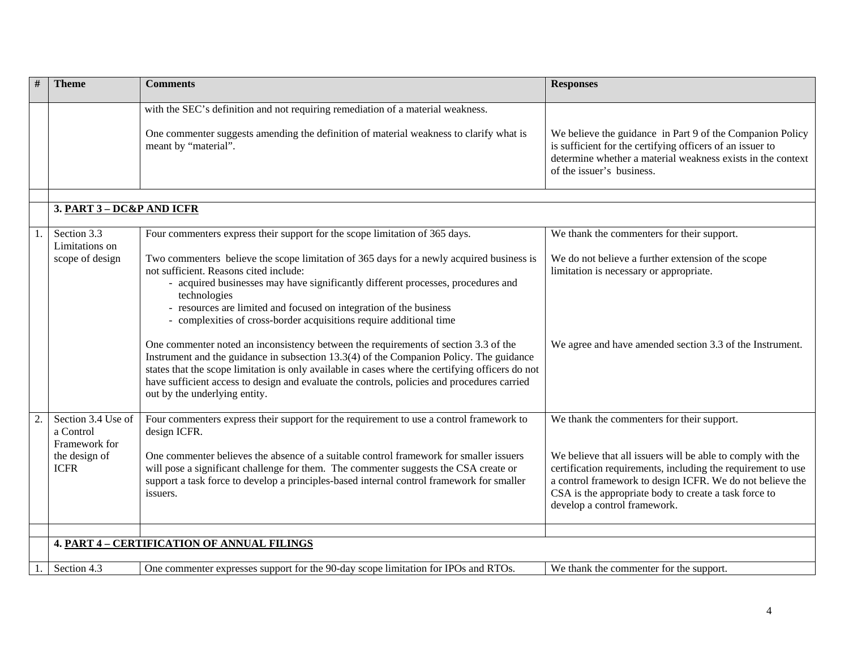|             | <b>Theme</b>                                     | <b>Comments</b>                                                                                                                                                                                                                                                                                                                                                                                                    | <b>Responses</b>                                                                                                                                                                                                                                                                  |
|-------------|--------------------------------------------------|--------------------------------------------------------------------------------------------------------------------------------------------------------------------------------------------------------------------------------------------------------------------------------------------------------------------------------------------------------------------------------------------------------------------|-----------------------------------------------------------------------------------------------------------------------------------------------------------------------------------------------------------------------------------------------------------------------------------|
|             |                                                  | with the SEC's definition and not requiring remediation of a material weakness.                                                                                                                                                                                                                                                                                                                                    |                                                                                                                                                                                                                                                                                   |
|             |                                                  | One commenter suggests amending the definition of material weakness to clarify what is<br>meant by "material".                                                                                                                                                                                                                                                                                                     | We believe the guidance in Part 9 of the Companion Policy<br>is sufficient for the certifying officers of an issuer to<br>determine whether a material weakness exists in the context<br>of the issuer's business.                                                                |
|             |                                                  |                                                                                                                                                                                                                                                                                                                                                                                                                    |                                                                                                                                                                                                                                                                                   |
|             | 3. PART 3 - DC&P AND ICFR                        |                                                                                                                                                                                                                                                                                                                                                                                                                    |                                                                                                                                                                                                                                                                                   |
| $1_{\cdot}$ | Section 3.3<br>Limitations on                    | Four commenters express their support for the scope limitation of 365 days.                                                                                                                                                                                                                                                                                                                                        | We thank the commenters for their support.                                                                                                                                                                                                                                        |
|             | scope of design                                  | Two commenters believe the scope limitation of 365 days for a newly acquired business is<br>not sufficient. Reasons cited include:<br>- acquired businesses may have significantly different processes, procedures and<br>technologies<br>- resources are limited and focused on integration of the business<br>- complexities of cross-border acquisitions require additional time                                | We do not believe a further extension of the scope<br>limitation is necessary or appropriate.                                                                                                                                                                                     |
|             |                                                  | One commenter noted an inconsistency between the requirements of section 3.3 of the<br>Instrument and the guidance in subsection 13.3(4) of the Companion Policy. The guidance<br>states that the scope limitation is only available in cases where the certifying officers do not<br>have sufficient access to design and evaluate the controls, policies and procedures carried<br>out by the underlying entity. | We agree and have amended section 3.3 of the Instrument.                                                                                                                                                                                                                          |
|             | Section 3.4 Use of<br>a Control<br>Framework for | Four commenters express their support for the requirement to use a control framework to<br>design ICFR.                                                                                                                                                                                                                                                                                                            | We thank the commenters for their support.                                                                                                                                                                                                                                        |
|             | the design of<br><b>ICFR</b>                     | One commenter believes the absence of a suitable control framework for smaller issuers<br>will pose a significant challenge for them. The commenter suggests the CSA create or<br>support a task force to develop a principles-based internal control framework for smaller<br>issuers.                                                                                                                            | We believe that all issuers will be able to comply with the<br>certification requirements, including the requirement to use<br>a control framework to design ICFR. We do not believe the<br>CSA is the appropriate body to create a task force to<br>develop a control framework. |
|             |                                                  |                                                                                                                                                                                                                                                                                                                                                                                                                    |                                                                                                                                                                                                                                                                                   |
|             |                                                  | <b>4. PART 4 - CERTIFICATION OF ANNUAL FILINGS</b>                                                                                                                                                                                                                                                                                                                                                                 |                                                                                                                                                                                                                                                                                   |
|             | Section 4.3                                      | One commenter expresses support for the 90-day scope limitation for IPOs and RTOs.                                                                                                                                                                                                                                                                                                                                 | We thank the commenter for the support.                                                                                                                                                                                                                                           |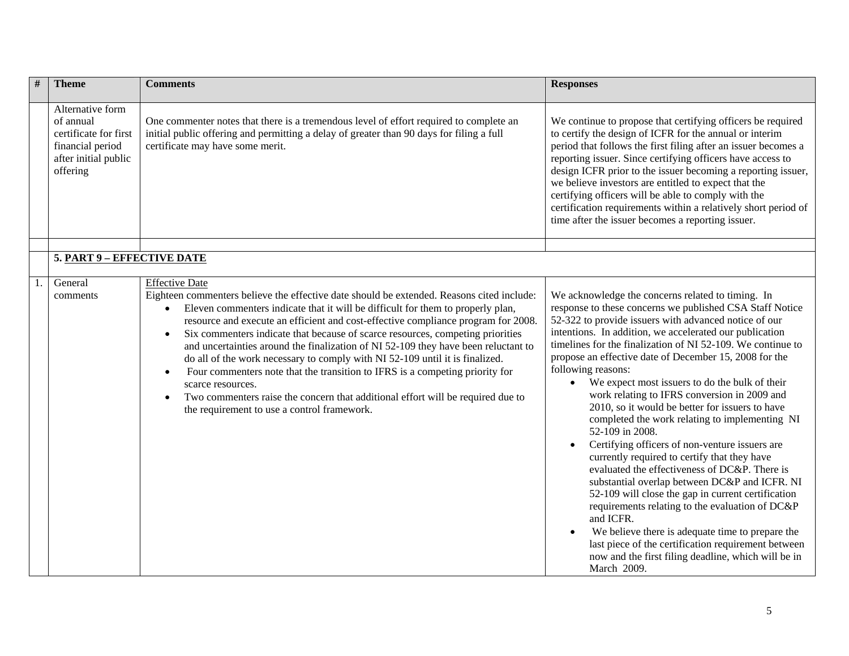| $\#$<br><b>Theme</b>                                                                                           | <b>Comments</b>                                                                                                                                                                                                                                                                                                                                                                                                                                                                                                                                                                                                                                                                                                                                                                                                     | <b>Responses</b>                                                                                                                                                                                                                                                                                                                                                                                                                                                                                                                                                                                                                                                                                                                                                                                                                                                                                                                                                                                                                                                                                                        |
|----------------------------------------------------------------------------------------------------------------|---------------------------------------------------------------------------------------------------------------------------------------------------------------------------------------------------------------------------------------------------------------------------------------------------------------------------------------------------------------------------------------------------------------------------------------------------------------------------------------------------------------------------------------------------------------------------------------------------------------------------------------------------------------------------------------------------------------------------------------------------------------------------------------------------------------------|-------------------------------------------------------------------------------------------------------------------------------------------------------------------------------------------------------------------------------------------------------------------------------------------------------------------------------------------------------------------------------------------------------------------------------------------------------------------------------------------------------------------------------------------------------------------------------------------------------------------------------------------------------------------------------------------------------------------------------------------------------------------------------------------------------------------------------------------------------------------------------------------------------------------------------------------------------------------------------------------------------------------------------------------------------------------------------------------------------------------------|
| Alternative form<br>of annual<br>certificate for first<br>financial period<br>after initial public<br>offering | One commenter notes that there is a tremendous level of effort required to complete an<br>initial public offering and permitting a delay of greater than 90 days for filing a full<br>certificate may have some merit.                                                                                                                                                                                                                                                                                                                                                                                                                                                                                                                                                                                              | We continue to propose that certifying officers be required<br>to certify the design of ICFR for the annual or interim<br>period that follows the first filing after an issuer becomes a<br>reporting issuer. Since certifying officers have access to<br>design ICFR prior to the issuer becoming a reporting issuer,<br>we believe investors are entitled to expect that the<br>certifying officers will be able to comply with the<br>certification requirements within a relatively short period of<br>time after the issuer becomes a reporting issuer.                                                                                                                                                                                                                                                                                                                                                                                                                                                                                                                                                            |
| 5. PART 9 - EFFECTIVE DATE                                                                                     |                                                                                                                                                                                                                                                                                                                                                                                                                                                                                                                                                                                                                                                                                                                                                                                                                     |                                                                                                                                                                                                                                                                                                                                                                                                                                                                                                                                                                                                                                                                                                                                                                                                                                                                                                                                                                                                                                                                                                                         |
|                                                                                                                |                                                                                                                                                                                                                                                                                                                                                                                                                                                                                                                                                                                                                                                                                                                                                                                                                     |                                                                                                                                                                                                                                                                                                                                                                                                                                                                                                                                                                                                                                                                                                                                                                                                                                                                                                                                                                                                                                                                                                                         |
| General<br>comments                                                                                            | <b>Effective Date</b><br>Eighteen commenters believe the effective date should be extended. Reasons cited include:<br>Eleven commenters indicate that it will be difficult for them to properly plan,<br>resource and execute an efficient and cost-effective compliance program for 2008.<br>Six commenters indicate that because of scarce resources, competing priorities<br>$\bullet$<br>and uncertainties around the finalization of NI 52-109 they have been reluctant to<br>do all of the work necessary to comply with NI 52-109 until it is finalized.<br>Four commenters note that the transition to IFRS is a competing priority for<br>$\bullet$<br>scarce resources.<br>Two commenters raise the concern that additional effort will be required due to<br>the requirement to use a control framework. | We acknowledge the concerns related to timing. In<br>response to these concerns we published CSA Staff Notice<br>52-322 to provide issuers with advanced notice of our<br>intentions. In addition, we accelerated our publication<br>timelines for the finalization of NI 52-109. We continue to<br>propose an effective date of December 15, 2008 for the<br>following reasons:<br>• We expect most issuers to do the bulk of their<br>work relating to IFRS conversion in 2009 and<br>2010, so it would be better for issuers to have<br>completed the work relating to implementing NI<br>52-109 in 2008.<br>Certifying officers of non-venture issuers are<br>currently required to certify that they have<br>evaluated the effectiveness of DC&P. There is<br>substantial overlap between DC&P and ICFR. NI<br>52-109 will close the gap in current certification<br>requirements relating to the evaluation of DC&P<br>and ICFR.<br>We believe there is adequate time to prepare the<br>last piece of the certification requirement between<br>now and the first filing deadline, which will be in<br>March 2009. |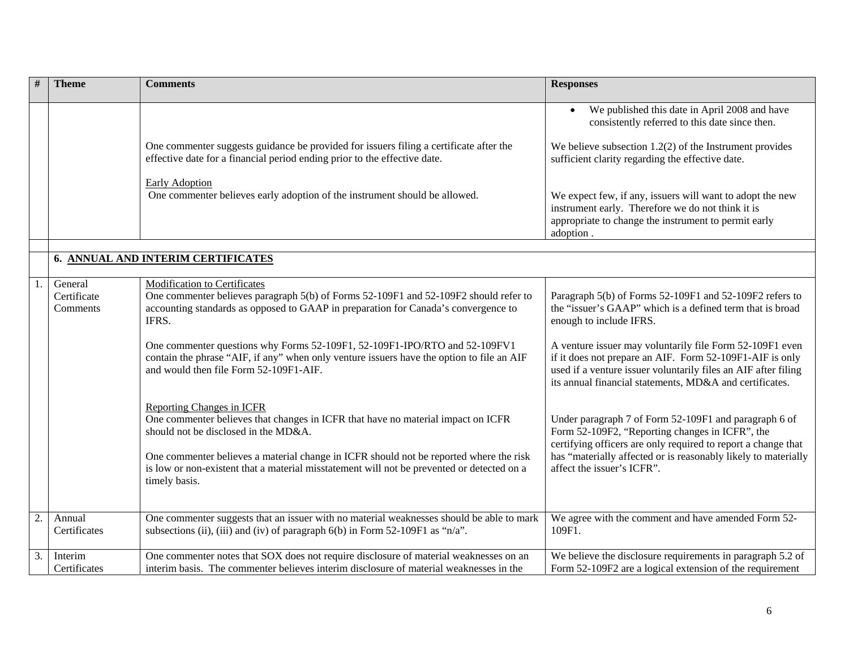| #  | <b>Theme</b>                       | <b>Comments</b>                                                                                                                                                                                                                                                                                                                                                                                                                                                                                                                                                                                                                                                                                                                                                                                                   | <b>Responses</b>                                                                                                                                                                                                                                                                                                                                                                                                                                                                                                                                                                                                                                                                  |
|----|------------------------------------|-------------------------------------------------------------------------------------------------------------------------------------------------------------------------------------------------------------------------------------------------------------------------------------------------------------------------------------------------------------------------------------------------------------------------------------------------------------------------------------------------------------------------------------------------------------------------------------------------------------------------------------------------------------------------------------------------------------------------------------------------------------------------------------------------------------------|-----------------------------------------------------------------------------------------------------------------------------------------------------------------------------------------------------------------------------------------------------------------------------------------------------------------------------------------------------------------------------------------------------------------------------------------------------------------------------------------------------------------------------------------------------------------------------------------------------------------------------------------------------------------------------------|
|    |                                    |                                                                                                                                                                                                                                                                                                                                                                                                                                                                                                                                                                                                                                                                                                                                                                                                                   | We published this date in April 2008 and have<br>consistently referred to this date since then.                                                                                                                                                                                                                                                                                                                                                                                                                                                                                                                                                                                   |
|    |                                    | One commenter suggests guidance be provided for issuers filing a certificate after the<br>effective date for a financial period ending prior to the effective date.                                                                                                                                                                                                                                                                                                                                                                                                                                                                                                                                                                                                                                               | We believe subsection $1.2(2)$ of the Instrument provides<br>sufficient clarity regarding the effective date.                                                                                                                                                                                                                                                                                                                                                                                                                                                                                                                                                                     |
|    |                                    | <b>Early Adoption</b><br>One commenter believes early adoption of the instrument should be allowed.                                                                                                                                                                                                                                                                                                                                                                                                                                                                                                                                                                                                                                                                                                               | We expect few, if any, issuers will want to adopt the new<br>instrument early. Therefore we do not think it is<br>appropriate to change the instrument to permit early<br>adoption.                                                                                                                                                                                                                                                                                                                                                                                                                                                                                               |
|    |                                    | 6. ANNUAL AND INTERIM CERTIFICATES                                                                                                                                                                                                                                                                                                                                                                                                                                                                                                                                                                                                                                                                                                                                                                                |                                                                                                                                                                                                                                                                                                                                                                                                                                                                                                                                                                                                                                                                                   |
|    | General<br>Certificate<br>Comments | <b>Modification to Certificates</b><br>One commenter believes paragraph 5(b) of Forms 52-109F1 and 52-109F2 should refer to<br>accounting standards as opposed to GAAP in preparation for Canada's convergence to<br>IFRS.<br>One commenter questions why Forms 52-109F1, 52-109F1-IPO/RTO and 52-109FV1<br>contain the phrase "AIF, if any" when only venture issuers have the option to file an AIF<br>and would then file Form 52-109F1-AIF.<br>Reporting Changes in ICFR<br>One commenter believes that changes in ICFR that have no material impact on ICFR<br>should not be disclosed in the MD&A.<br>One commenter believes a material change in ICFR should not be reported where the risk<br>is low or non-existent that a material misstatement will not be prevented or detected on a<br>timely basis. | Paragraph 5(b) of Forms 52-109F1 and 52-109F2 refers to<br>the "issuer's GAAP" which is a defined term that is broad<br>enough to include IFRS.<br>A venture issuer may voluntarily file Form 52-109F1 even<br>if it does not prepare an AIF. Form 52-109F1-AIF is only<br>used if a venture issuer voluntarily files an AIF after filing<br>its annual financial statements, MD&A and certificates.<br>Under paragraph 7 of Form 52-109F1 and paragraph 6 of<br>Form 52-109F2, "Reporting changes in ICFR", the<br>certifying officers are only required to report a change that<br>has "materially affected or is reasonably likely to materially<br>affect the issuer's ICFR". |
| 2. | Annual<br>Certificates             | One commenter suggests that an issuer with no material weaknesses should be able to mark<br>subsections (ii), (iii) and (iv) of paragraph $6(b)$ in Form $52-109F1$ as "n/a".                                                                                                                                                                                                                                                                                                                                                                                                                                                                                                                                                                                                                                     | We agree with the comment and have amended Form 52-<br>109F1.                                                                                                                                                                                                                                                                                                                                                                                                                                                                                                                                                                                                                     |
| 3. | Interim<br>Certificates            | One commenter notes that SOX does not require disclosure of material weaknesses on an<br>interim basis. The commenter believes interim disclosure of material weaknesses in the                                                                                                                                                                                                                                                                                                                                                                                                                                                                                                                                                                                                                                   | We believe the disclosure requirements in paragraph 5.2 of<br>Form 52-109F2 are a logical extension of the requirement                                                                                                                                                                                                                                                                                                                                                                                                                                                                                                                                                            |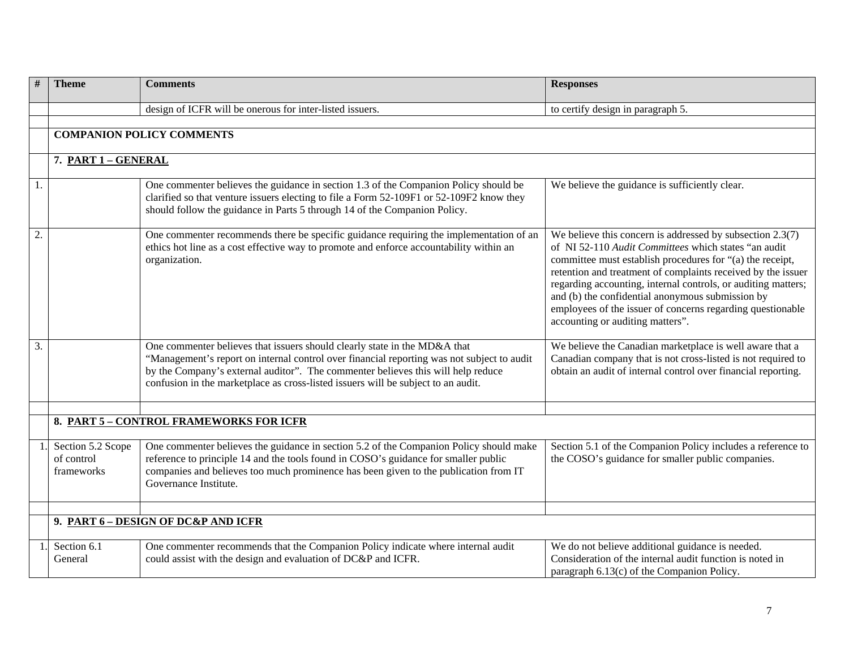|    | <b>Theme</b>                                  | <b>Comments</b>                                                                                                                                                                                                                                                                                                                                  | <b>Responses</b>                                                                                                                                                                                                                                                                                                                                                                                                                                                        |
|----|-----------------------------------------------|--------------------------------------------------------------------------------------------------------------------------------------------------------------------------------------------------------------------------------------------------------------------------------------------------------------------------------------------------|-------------------------------------------------------------------------------------------------------------------------------------------------------------------------------------------------------------------------------------------------------------------------------------------------------------------------------------------------------------------------------------------------------------------------------------------------------------------------|
|    |                                               | design of ICFR will be onerous for inter-listed issuers.                                                                                                                                                                                                                                                                                         | to certify design in paragraph 5.                                                                                                                                                                                                                                                                                                                                                                                                                                       |
|    |                                               |                                                                                                                                                                                                                                                                                                                                                  |                                                                                                                                                                                                                                                                                                                                                                                                                                                                         |
|    |                                               | <b>COMPANION POLICY COMMENTS</b>                                                                                                                                                                                                                                                                                                                 |                                                                                                                                                                                                                                                                                                                                                                                                                                                                         |
|    | 7. PART 1 - GENERAL                           |                                                                                                                                                                                                                                                                                                                                                  |                                                                                                                                                                                                                                                                                                                                                                                                                                                                         |
| 1. |                                               | One commenter believes the guidance in section 1.3 of the Companion Policy should be<br>clarified so that venture issuers electing to file a Form 52-109F1 or 52-109F2 know they<br>should follow the guidance in Parts 5 through 14 of the Companion Policy.                                                                                    | We believe the guidance is sufficiently clear.                                                                                                                                                                                                                                                                                                                                                                                                                          |
| 2. |                                               | One commenter recommends there be specific guidance requiring the implementation of an<br>ethics hot line as a cost effective way to promote and enforce accountability within an<br>organization.                                                                                                                                               | We believe this concern is addressed by subsection $2.3(7)$<br>of NI 52-110 Audit Committees which states "an audit<br>committee must establish procedures for "(a) the receipt,<br>retention and treatment of complaints received by the issuer<br>regarding accounting, internal controls, or auditing matters;<br>and (b) the confidential anonymous submission by<br>employees of the issuer of concerns regarding questionable<br>accounting or auditing matters". |
| 3. |                                               | One commenter believes that issuers should clearly state in the MD&A that<br>"Management's report on internal control over financial reporting was not subject to audit<br>by the Company's external auditor". The commenter believes this will help reduce<br>confusion in the marketplace as cross-listed issuers will be subject to an audit. | We believe the Canadian marketplace is well aware that a<br>Canadian company that is not cross-listed is not required to<br>obtain an audit of internal control over financial reporting.                                                                                                                                                                                                                                                                               |
|    |                                               |                                                                                                                                                                                                                                                                                                                                                  |                                                                                                                                                                                                                                                                                                                                                                                                                                                                         |
|    |                                               | 8. PART 5 - CONTROL FRAMEWORKS FOR ICFR                                                                                                                                                                                                                                                                                                          |                                                                                                                                                                                                                                                                                                                                                                                                                                                                         |
|    | Section 5.2 Scope<br>of control<br>frameworks | One commenter believes the guidance in section 5.2 of the Companion Policy should make<br>reference to principle 14 and the tools found in COSO's guidance for smaller public<br>companies and believes too much prominence has been given to the publication from IT<br>Governance Institute.                                                   | Section 5.1 of the Companion Policy includes a reference to<br>the COSO's guidance for smaller public companies.                                                                                                                                                                                                                                                                                                                                                        |
|    |                                               |                                                                                                                                                                                                                                                                                                                                                  |                                                                                                                                                                                                                                                                                                                                                                                                                                                                         |
|    |                                               | 9. PART 6 - DESIGN OF DC&P AND ICFR                                                                                                                                                                                                                                                                                                              |                                                                                                                                                                                                                                                                                                                                                                                                                                                                         |
|    | Section 6.1<br>General                        | One commenter recommends that the Companion Policy indicate where internal audit<br>could assist with the design and evaluation of DC&P and ICFR.                                                                                                                                                                                                | We do not believe additional guidance is needed.<br>Consideration of the internal audit function is noted in<br>paragraph 6.13(c) of the Companion Policy.                                                                                                                                                                                                                                                                                                              |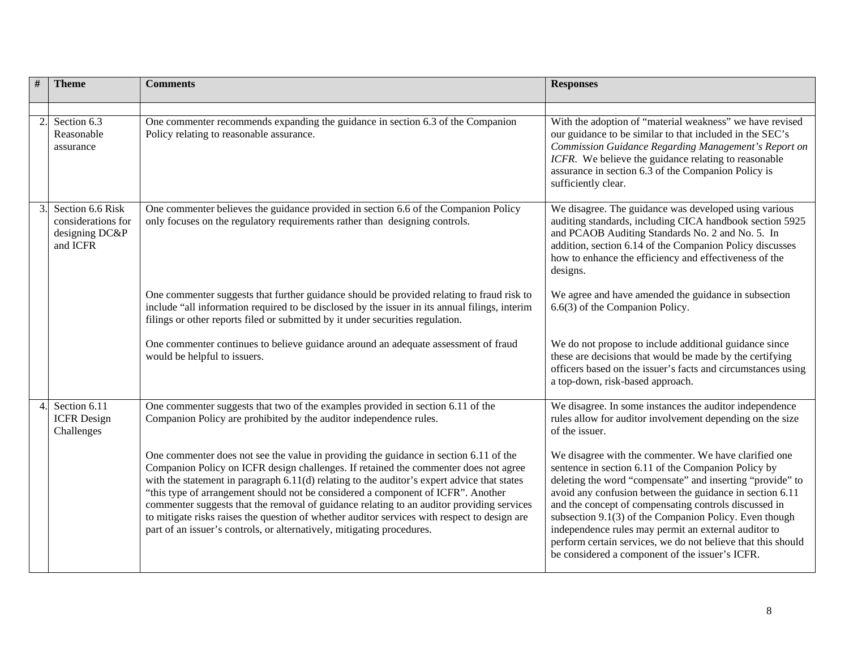|                | <b>Theme</b>                                                         | <b>Comments</b>                                                                                                                                                                                                                                                                                                                                                                                                                                                                                                                                                                                                                           | <b>Responses</b>                                                                                                                                                                                                                                                                                                                                                                                                                                                                                                                      |
|----------------|----------------------------------------------------------------------|-------------------------------------------------------------------------------------------------------------------------------------------------------------------------------------------------------------------------------------------------------------------------------------------------------------------------------------------------------------------------------------------------------------------------------------------------------------------------------------------------------------------------------------------------------------------------------------------------------------------------------------------|---------------------------------------------------------------------------------------------------------------------------------------------------------------------------------------------------------------------------------------------------------------------------------------------------------------------------------------------------------------------------------------------------------------------------------------------------------------------------------------------------------------------------------------|
| 2.             | Section 6.3<br>Reasonable<br>assurance                               | One commenter recommends expanding the guidance in section 6.3 of the Companion<br>Policy relating to reasonable assurance.                                                                                                                                                                                                                                                                                                                                                                                                                                                                                                               | With the adoption of "material weakness" we have revised<br>our guidance to be similar to that included in the SEC's<br>Commission Guidance Regarding Management's Report on<br>ICFR. We believe the guidance relating to reasonable<br>assurance in section 6.3 of the Companion Policy is<br>sufficiently clear.                                                                                                                                                                                                                    |
| 3.             | Section 6.6 Risk<br>considerations for<br>designing DC&P<br>and ICFR | One commenter believes the guidance provided in section 6.6 of the Companion Policy<br>only focuses on the regulatory requirements rather than designing controls.                                                                                                                                                                                                                                                                                                                                                                                                                                                                        | We disagree. The guidance was developed using various<br>auditing standards, including CICA handbook section 5925<br>and PCAOB Auditing Standards No. 2 and No. 5. In<br>addition, section 6.14 of the Companion Policy discusses<br>how to enhance the efficiency and effectiveness of the<br>designs.                                                                                                                                                                                                                               |
|                |                                                                      | One commenter suggests that further guidance should be provided relating to fraud risk to<br>include "all information required to be disclosed by the issuer in its annual filings, interim<br>filings or other reports filed or submitted by it under securities regulation.                                                                                                                                                                                                                                                                                                                                                             | We agree and have amended the guidance in subsection<br>6.6(3) of the Companion Policy.                                                                                                                                                                                                                                                                                                                                                                                                                                               |
|                |                                                                      | One commenter continues to believe guidance around an adequate assessment of fraud<br>would be helpful to issuers.                                                                                                                                                                                                                                                                                                                                                                                                                                                                                                                        | We do not propose to include additional guidance since<br>these are decisions that would be made by the certifying<br>officers based on the issuer's facts and circumstances using<br>a top-down, risk-based approach.                                                                                                                                                                                                                                                                                                                |
| $\overline{4}$ | Section 6.11<br><b>ICFR</b> Design<br>Challenges                     | One commenter suggests that two of the examples provided in section 6.11 of the<br>Companion Policy are prohibited by the auditor independence rules.                                                                                                                                                                                                                                                                                                                                                                                                                                                                                     | We disagree. In some instances the auditor independence<br>rules allow for auditor involvement depending on the size<br>of the issuer.                                                                                                                                                                                                                                                                                                                                                                                                |
|                |                                                                      | One commenter does not see the value in providing the guidance in section 6.11 of the<br>Companion Policy on ICFR design challenges. If retained the commenter does not agree<br>with the statement in paragraph $6.11(d)$ relating to the auditor's expert advice that states<br>"this type of arrangement should not be considered a component of ICFR". Another<br>commenter suggests that the removal of guidance relating to an auditor providing services<br>to mitigate risks raises the question of whether auditor services with respect to design are<br>part of an issuer's controls, or alternatively, mitigating procedures. | We disagree with the commenter. We have clarified one<br>sentence in section 6.11 of the Companion Policy by<br>deleting the word "compensate" and inserting "provide" to<br>avoid any confusion between the guidance in section 6.11<br>and the concept of compensating controls discussed in<br>subsection $9.1(3)$ of the Companion Policy. Even though<br>independence rules may permit an external auditor to<br>perform certain services, we do not believe that this should<br>be considered a component of the issuer's ICFR. |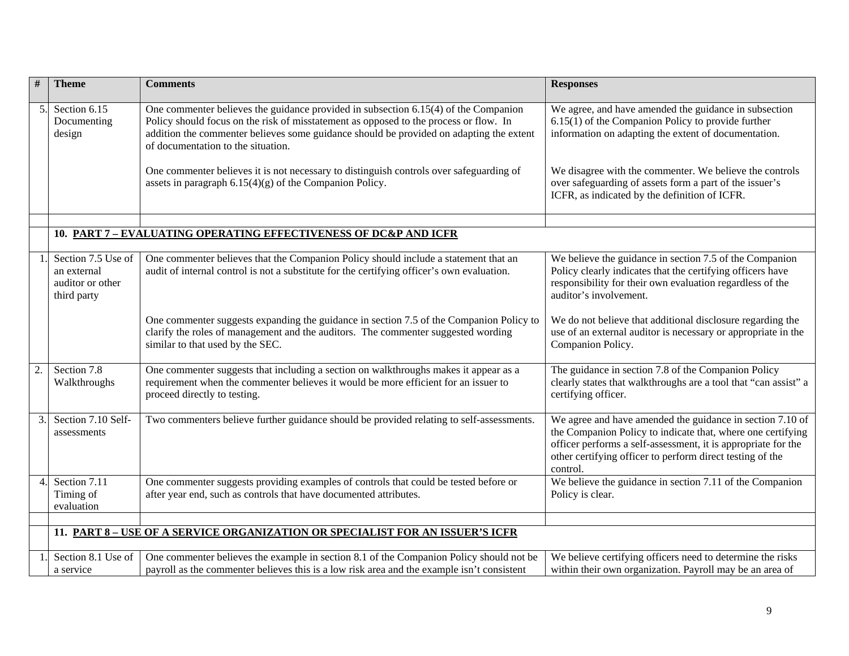| $\#$             | <b>Theme</b>                                                         | <b>Comments</b>                                                                                                                                                                                                                                                                                               | <b>Responses</b>                                                                                                                                                                                                                                                   |
|------------------|----------------------------------------------------------------------|---------------------------------------------------------------------------------------------------------------------------------------------------------------------------------------------------------------------------------------------------------------------------------------------------------------|--------------------------------------------------------------------------------------------------------------------------------------------------------------------------------------------------------------------------------------------------------------------|
| 5.               | Section 6.15<br>Documenting<br>design                                | One commenter believes the guidance provided in subsection 6.15(4) of the Companion<br>Policy should focus on the risk of misstatement as opposed to the process or flow. In<br>addition the commenter believes some guidance should be provided on adapting the extent<br>of documentation to the situation. | We agree, and have amended the guidance in subsection<br>$6.15(1)$ of the Companion Policy to provide further<br>information on adapting the extent of documentation.                                                                                              |
|                  |                                                                      | One commenter believes it is not necessary to distinguish controls over safeguarding of<br>assets in paragraph $6.15(4)(g)$ of the Companion Policy.                                                                                                                                                          | We disagree with the commenter. We believe the controls<br>over safeguarding of assets form a part of the issuer's<br>ICFR, as indicated by the definition of ICFR.                                                                                                |
|                  |                                                                      | 10. PART 7 - EVALUATING OPERATING EFFECTIVENESS OF DC&P AND ICFR                                                                                                                                                                                                                                              |                                                                                                                                                                                                                                                                    |
|                  |                                                                      |                                                                                                                                                                                                                                                                                                               |                                                                                                                                                                                                                                                                    |
|                  | Section 7.5 Use of<br>an external<br>auditor or other<br>third party | One commenter believes that the Companion Policy should include a statement that an<br>audit of internal control is not a substitute for the certifying officer's own evaluation.                                                                                                                             | We believe the guidance in section 7.5 of the Companion<br>Policy clearly indicates that the certifying officers have<br>responsibility for their own evaluation regardless of the<br>auditor's involvement.                                                       |
|                  |                                                                      | One commenter suggests expanding the guidance in section 7.5 of the Companion Policy to<br>clarify the roles of management and the auditors. The commenter suggested wording<br>similar to that used by the SEC.                                                                                              | We do not believe that additional disclosure regarding the<br>use of an external auditor is necessary or appropriate in the<br>Companion Policy.                                                                                                                   |
| 2.               | Section 7.8<br>Walkthroughs                                          | One commenter suggests that including a section on walkthroughs makes it appear as a<br>requirement when the commenter believes it would be more efficient for an issuer to<br>proceed directly to testing.                                                                                                   | The guidance in section 7.8 of the Companion Policy<br>clearly states that walkthroughs are a tool that "can assist" a<br>certifying officer.                                                                                                                      |
| 3.               | Section 7.10 Self-<br>assessments                                    | Two commenters believe further guidance should be provided relating to self-assessments.                                                                                                                                                                                                                      | We agree and have amended the guidance in section 7.10 of<br>the Companion Policy to indicate that, where one certifying<br>officer performs a self-assessment, it is appropriate for the<br>other certifying officer to perform direct testing of the<br>control. |
| $\overline{4}$ . | Section 7.11                                                         | One commenter suggests providing examples of controls that could be tested before or                                                                                                                                                                                                                          | We believe the guidance in section 7.11 of the Companion                                                                                                                                                                                                           |
|                  | Timing of                                                            | after year end, such as controls that have documented attributes.                                                                                                                                                                                                                                             | Policy is clear.                                                                                                                                                                                                                                                   |
|                  | evaluation                                                           |                                                                                                                                                                                                                                                                                                               |                                                                                                                                                                                                                                                                    |
|                  |                                                                      |                                                                                                                                                                                                                                                                                                               |                                                                                                                                                                                                                                                                    |
|                  |                                                                      | 11. PART 8 - USE OF A SERVICE ORGANIZATION OR SPECIALIST FOR AN ISSUER'S ICFR                                                                                                                                                                                                                                 |                                                                                                                                                                                                                                                                    |
|                  | Section 8.1 Use of                                                   | One commenter believes the example in section 8.1 of the Companion Policy should not be                                                                                                                                                                                                                       | We believe certifying officers need to determine the risks                                                                                                                                                                                                         |
|                  | a service                                                            | payroll as the commenter believes this is a low risk area and the example isn't consistent                                                                                                                                                                                                                    | within their own organization. Payroll may be an area of                                                                                                                                                                                                           |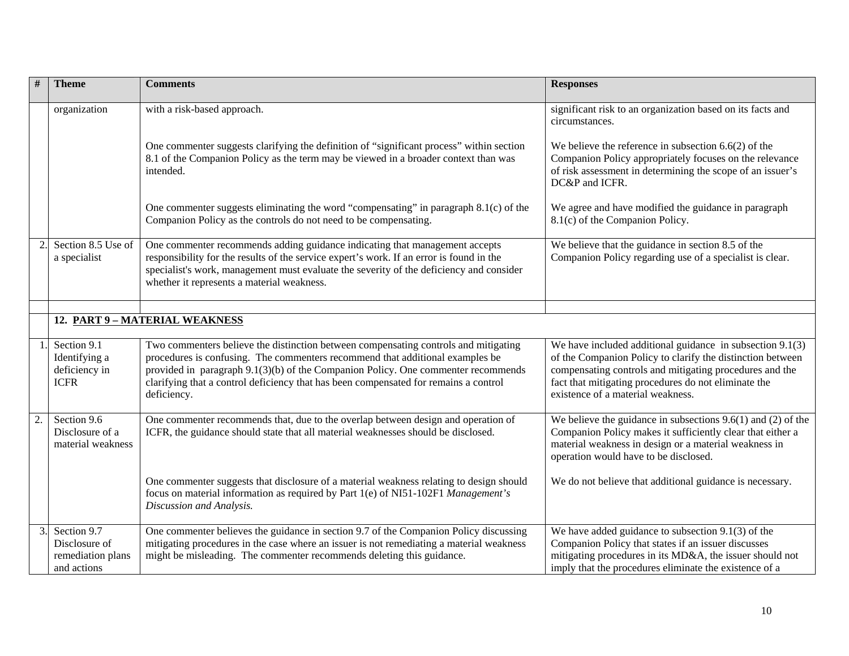| #                | <b>Theme</b>                                                     | <b>Comments</b>                                                                                                                                                                                                                                                                                                                                                  | <b>Responses</b>                                                                                                                                                                                                                                                                |
|------------------|------------------------------------------------------------------|------------------------------------------------------------------------------------------------------------------------------------------------------------------------------------------------------------------------------------------------------------------------------------------------------------------------------------------------------------------|---------------------------------------------------------------------------------------------------------------------------------------------------------------------------------------------------------------------------------------------------------------------------------|
|                  | organization                                                     | with a risk-based approach.                                                                                                                                                                                                                                                                                                                                      | significant risk to an organization based on its facts and<br>circumstances.                                                                                                                                                                                                    |
|                  |                                                                  | One commenter suggests clarifying the definition of "significant process" within section<br>8.1 of the Companion Policy as the term may be viewed in a broader context than was<br>intended.                                                                                                                                                                     | We believe the reference in subsection $6.6(2)$ of the<br>Companion Policy appropriately focuses on the relevance<br>of risk assessment in determining the scope of an issuer's<br>DC&P and ICFR.                                                                               |
|                  |                                                                  | One commenter suggests eliminating the word "compensating" in paragraph 8.1(c) of the<br>Companion Policy as the controls do not need to be compensating.                                                                                                                                                                                                        | We agree and have modified the guidance in paragraph<br>8.1(c) of the Companion Policy.                                                                                                                                                                                         |
|                  | Section 8.5 Use of<br>a specialist                               | One commenter recommends adding guidance indicating that management accepts<br>responsibility for the results of the service expert's work. If an error is found in the<br>specialist's work, management must evaluate the severity of the deficiency and consider<br>whether it represents a material weakness.                                                 | We believe that the guidance in section 8.5 of the<br>Companion Policy regarding use of a specialist is clear.                                                                                                                                                                  |
|                  |                                                                  | 12. PART 9 - MATERIAL WEAKNESS                                                                                                                                                                                                                                                                                                                                   |                                                                                                                                                                                                                                                                                 |
|                  |                                                                  |                                                                                                                                                                                                                                                                                                                                                                  |                                                                                                                                                                                                                                                                                 |
|                  | Section 9.1<br>Identifying a<br>deficiency in<br><b>ICFR</b>     | Two commenters believe the distinction between compensating controls and mitigating<br>procedures is confusing. The commenters recommend that additional examples be<br>provided in paragraph 9.1(3)(b) of the Companion Policy. One commenter recommends<br>clarifying that a control deficiency that has been compensated for remains a control<br>deficiency. | We have included additional guidance in subsection 9.1(3)<br>of the Companion Policy to clarify the distinction between<br>compensating controls and mitigating procedures and the<br>fact that mitigating procedures do not eliminate the<br>existence of a material weakness. |
| $\overline{2}$ . | Section 9.6<br>Disclosure of a<br>material weakness              | One commenter recommends that, due to the overlap between design and operation of<br>ICFR, the guidance should state that all material weaknesses should be disclosed.                                                                                                                                                                                           | We believe the guidance in subsections $9.6(1)$ and (2) of the<br>Companion Policy makes it sufficiently clear that either a<br>material weakness in design or a material weakness in<br>operation would have to be disclosed.                                                  |
|                  |                                                                  | One commenter suggests that disclosure of a material weakness relating to design should<br>focus on material information as required by Part 1(e) of NI51-102F1 Management's<br>Discussion and Analysis.                                                                                                                                                         | We do not believe that additional guidance is necessary.                                                                                                                                                                                                                        |
| 3.               | Section 9.7<br>Disclosure of<br>remediation plans<br>and actions | One commenter believes the guidance in section 9.7 of the Companion Policy discussing<br>mitigating procedures in the case where an issuer is not remediating a material weakness<br>might be misleading. The commenter recommends deleting this guidance.                                                                                                       | We have added guidance to subsection $9.1(3)$ of the<br>Companion Policy that states if an issuer discusses<br>mitigating procedures in its MD&A, the issuer should not<br>imply that the procedures eliminate the existence of a                                               |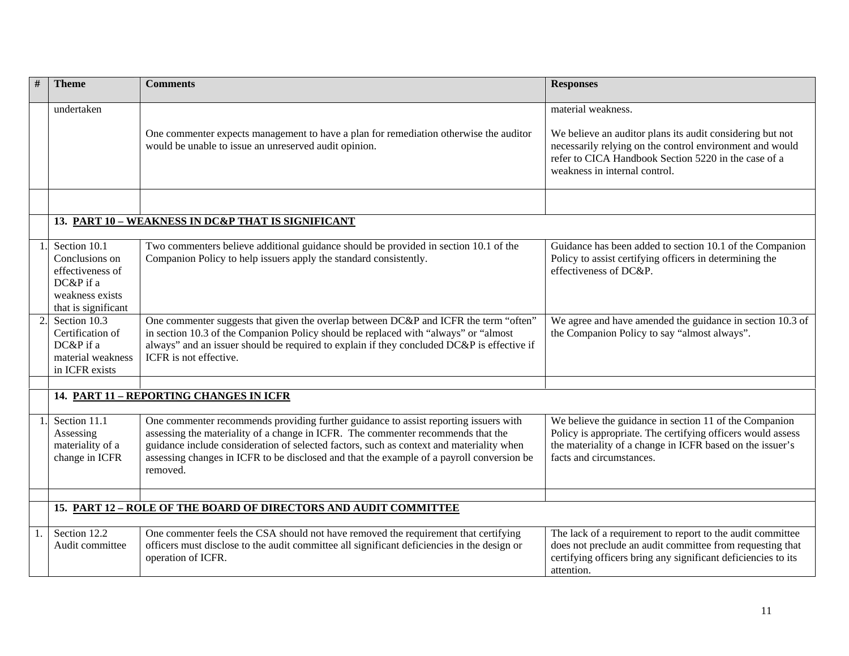| #  | <b>Theme</b>                                                                                              | <b>Comments</b>                                                                                                                                                                                                                                                                                                                                                               | <b>Responses</b>                                                                                                                                                                                                                     |
|----|-----------------------------------------------------------------------------------------------------------|-------------------------------------------------------------------------------------------------------------------------------------------------------------------------------------------------------------------------------------------------------------------------------------------------------------------------------------------------------------------------------|--------------------------------------------------------------------------------------------------------------------------------------------------------------------------------------------------------------------------------------|
|    | undertaken                                                                                                | One commenter expects management to have a plan for remediation otherwise the auditor<br>would be unable to issue an unreserved audit opinion.                                                                                                                                                                                                                                | material weakness.<br>We believe an auditor plans its audit considering but not<br>necessarily relying on the control environment and would<br>refer to CICA Handbook Section 5220 in the case of a<br>weakness in internal control. |
|    |                                                                                                           |                                                                                                                                                                                                                                                                                                                                                                               |                                                                                                                                                                                                                                      |
|    |                                                                                                           | 13. PART 10 - WEAKNESS IN DC&P THAT IS SIGNIFICANT                                                                                                                                                                                                                                                                                                                            |                                                                                                                                                                                                                                      |
|    | Section 10.1<br>Conclusions on<br>effectiveness of<br>DC&P if a<br>weakness exists<br>that is significant | Two commenters believe additional guidance should be provided in section 10.1 of the<br>Companion Policy to help issuers apply the standard consistently.                                                                                                                                                                                                                     | Guidance has been added to section 10.1 of the Companion<br>Policy to assist certifying officers in determining the<br>effectiveness of DC&P.                                                                                        |
| 2. | Section 10.3<br>Certification of<br>DC&P if a<br>material weakness<br>in ICFR exists                      | One commenter suggests that given the overlap between DC&P and ICFR the term "often"<br>in section 10.3 of the Companion Policy should be replaced with "always" or "almost<br>always" and an issuer should be required to explain if they concluded DC&P is effective if<br>ICFR is not effective.                                                                           | We agree and have amended the guidance in section 10.3 of<br>the Companion Policy to say "almost always".                                                                                                                            |
|    |                                                                                                           | 14. PART 11 - REPORTING CHANGES IN ICFR                                                                                                                                                                                                                                                                                                                                       |                                                                                                                                                                                                                                      |
|    | Section 11.1<br>Assessing<br>materiality of a<br>change in ICFR                                           | One commenter recommends providing further guidance to assist reporting issuers with<br>assessing the materiality of a change in ICFR. The commenter recommends that the<br>guidance include consideration of selected factors, such as context and materiality when<br>assessing changes in ICFR to be disclosed and that the example of a payroll conversion be<br>removed. | We believe the guidance in section 11 of the Companion<br>Policy is appropriate. The certifying officers would assess<br>the materiality of a change in ICFR based on the issuer's<br>facts and circumstances.                       |
|    |                                                                                                           | 15. PART 12 - ROLE OF THE BOARD OF DIRECTORS AND AUDIT COMMITTEE                                                                                                                                                                                                                                                                                                              |                                                                                                                                                                                                                                      |
|    |                                                                                                           |                                                                                                                                                                                                                                                                                                                                                                               |                                                                                                                                                                                                                                      |
|    | Section $12.2$<br>Audit committee                                                                         | One commenter feels the CSA should not have removed the requirement that certifying<br>officers must disclose to the audit committee all significant deficiencies in the design or<br>operation of ICFR.                                                                                                                                                                      | The lack of a requirement to report to the audit committee<br>does not preclude an audit committee from requesting that<br>certifying officers bring any significant deficiencies to its<br>attention.                               |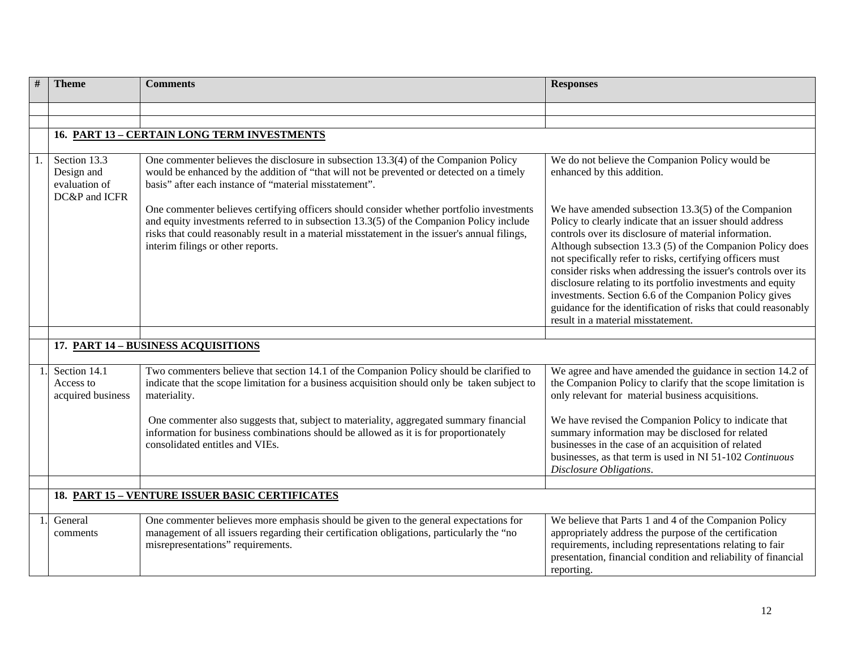| # | <b>Theme</b>                                                 | <b>Comments</b>                                                                                                                                                                                                                                                                                                            | <b>Responses</b>                                                                                                                                                                                                                                                                                                                                                                                                                                                                                                                                                                                       |
|---|--------------------------------------------------------------|----------------------------------------------------------------------------------------------------------------------------------------------------------------------------------------------------------------------------------------------------------------------------------------------------------------------------|--------------------------------------------------------------------------------------------------------------------------------------------------------------------------------------------------------------------------------------------------------------------------------------------------------------------------------------------------------------------------------------------------------------------------------------------------------------------------------------------------------------------------------------------------------------------------------------------------------|
|   |                                                              |                                                                                                                                                                                                                                                                                                                            |                                                                                                                                                                                                                                                                                                                                                                                                                                                                                                                                                                                                        |
|   |                                                              |                                                                                                                                                                                                                                                                                                                            |                                                                                                                                                                                                                                                                                                                                                                                                                                                                                                                                                                                                        |
|   |                                                              | 16. PART 13 - CERTAIN LONG TERM INVESTMENTS                                                                                                                                                                                                                                                                                |                                                                                                                                                                                                                                                                                                                                                                                                                                                                                                                                                                                                        |
|   |                                                              |                                                                                                                                                                                                                                                                                                                            |                                                                                                                                                                                                                                                                                                                                                                                                                                                                                                                                                                                                        |
|   | Section 13.3<br>Design and<br>evaluation of<br>DC&P and ICFR | One commenter believes the disclosure in subsection 13.3(4) of the Companion Policy<br>would be enhanced by the addition of "that will not be prevented or detected on a timely<br>basis" after each instance of "material misstatement".                                                                                  | We do not believe the Companion Policy would be<br>enhanced by this addition.                                                                                                                                                                                                                                                                                                                                                                                                                                                                                                                          |
|   |                                                              | One commenter believes certifying officers should consider whether portfolio investments<br>and equity investments referred to in subsection 13.3(5) of the Companion Policy include<br>risks that could reasonably result in a material misstatement in the issuer's annual filings,<br>interim filings or other reports. | We have amended subsection $13.3(5)$ of the Companion<br>Policy to clearly indicate that an issuer should address<br>controls over its disclosure of material information.<br>Although subsection 13.3 (5) of the Companion Policy does<br>not specifically refer to risks, certifying officers must<br>consider risks when addressing the issuer's controls over its<br>disclosure relating to its portfolio investments and equity<br>investments. Section 6.6 of the Companion Policy gives<br>guidance for the identification of risks that could reasonably<br>result in a material misstatement. |
|   |                                                              |                                                                                                                                                                                                                                                                                                                            |                                                                                                                                                                                                                                                                                                                                                                                                                                                                                                                                                                                                        |
|   |                                                              | 17. PART 14 - BUSINESS ACQUISITIONS                                                                                                                                                                                                                                                                                        |                                                                                                                                                                                                                                                                                                                                                                                                                                                                                                                                                                                                        |
|   | Section 14.1<br>Access to<br>acquired business               | Two commenters believe that section 14.1 of the Companion Policy should be clarified to<br>indicate that the scope limitation for a business acquisition should only be taken subject to<br>materiality.                                                                                                                   | We agree and have amended the guidance in section 14.2 of<br>the Companion Policy to clarify that the scope limitation is<br>only relevant for material business acquisitions.                                                                                                                                                                                                                                                                                                                                                                                                                         |
|   |                                                              | One commenter also suggests that, subject to materiality, aggregated summary financial<br>information for business combinations should be allowed as it is for proportionately<br>consolidated entitles and VIEs.                                                                                                          | We have revised the Companion Policy to indicate that<br>summary information may be disclosed for related<br>businesses in the case of an acquisition of related<br>businesses, as that term is used in NI 51-102 Continuous<br>Disclosure Obligations.                                                                                                                                                                                                                                                                                                                                                |
|   |                                                              |                                                                                                                                                                                                                                                                                                                            |                                                                                                                                                                                                                                                                                                                                                                                                                                                                                                                                                                                                        |
|   |                                                              | 18. PART 15 - VENTURE ISSUER BASIC CERTIFICATES                                                                                                                                                                                                                                                                            |                                                                                                                                                                                                                                                                                                                                                                                                                                                                                                                                                                                                        |
|   | General<br>comments                                          | One commenter believes more emphasis should be given to the general expectations for<br>management of all issuers regarding their certification obligations, particularly the "no<br>misrepresentations" requirements.                                                                                                     | We believe that Parts 1 and 4 of the Companion Policy<br>appropriately address the purpose of the certification<br>requirements, including representations relating to fair<br>presentation, financial condition and reliability of financial<br>reporting.                                                                                                                                                                                                                                                                                                                                            |